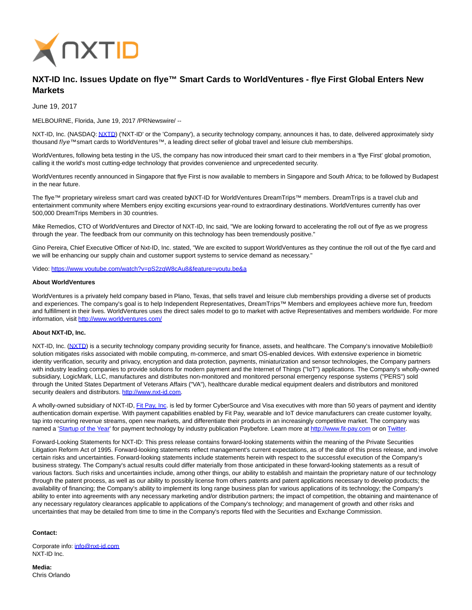

## **NXT-ID Inc. Issues Update on flye™ Smart Cards to WorldVentures - flye First Global Enters New Markets**

June 19, 2017

MELBOURNE, Florida, June 19, 2017 /PRNewswire/ --

NXT-ID, Inc. (NASDAQ[: NXTD\)](https://finance.yahoo.com/q?s=nxtd) ('NXT-ID' or the 'Company'), a security technology company, announces it has, to date, delivered approximately sixty thousand flye™ smart cards to WorldVentures™, a leading direct seller of global travel and leisure club memberships.

WorldVentures, following beta testing in the US, the company has now introduced their smart card to their members in a 'flye First' global promotion, calling it the world's most cutting-edge technology that provides convenience and unprecedented security.

WorldVentures recently announced in Singapore that flye First is now available to members in Singapore and South Africa; to be followed by Budapest in the near future.

The flye™ proprietary wireless smart card was created byNXT-ID for WorldVentures DreamTrips™ members. DreamTrips is a travel club and entertainment community where Members enjoy exciting excursions year-round to extraordinary destinations. WorldVentures currently has over 500,000 DreamTrips Members in 30 countries.

Mike Remedios, CTO of WorldVentures and Director of NXT-ID, Inc said, "We are looking forward to accelerating the roll out of flye as we progress through the year. The feedback from our community on this technology has been tremendously positive."

Gino Pereira, Chief Executive Officer of Nxt-ID, Inc. stated, "We are excited to support WorldVentures as they continue the roll out of the flye card and we will be enhancing our supply chain and customer support systems to service demand as necessary."

Video:<https://www.youtube.com/watch?v=pS2zqW8cAu8&feature=youtu.be&a>

## **About WorldVentures**

WorldVentures is a privately held company based in Plano, Texas, that sells travel and leisure club memberships providing a diverse set of products and experiences. The company's goal is to help Independent Representatives, DreamTrips™ Members and employees achieve more fun, freedom and fulfillment in their lives. WorldVentures uses the direct sales model to go to market with active Representatives and members worldwide. For more information, visit<http://www.worldventures.com/>

## **About NXT-ID, Inc.**

NXT-ID, Inc. [\(NXTD\)](https://finance.yahoo.com/q?s=nxtd) is a security technology company providing security for finance, assets, and healthcare. The Company's innovative MobileBio® solution mitigates risks associated with mobile computing, m-commerce, and smart OS-enabled devices. With extensive experience in biometric identity verification, security and privacy, encryption and data protection, payments, miniaturization and sensor technologies, the Company partners with industry leading companies to provide solutions for modern payment and the Internet of Things ("IoT") applications. The Company's wholly-owned subsidiary, LogicMark, LLC, manufactures and distributes non-monitored and monitored personal emergency response systems ("PERS") sold through the United States Department of Veterans Affairs ("VA"), healthcare durable medical equipment dealers and distributors and monitored security dealers and distributors[. http://www.nxt-id.com.](http://www.nxt-id.com/)

A wholly-owned subsidiary of NXT-ID, [Fit Pay, Inc.](http://www.fit-pay.com/) is led by former CyberSource and Visa executives with more than 50 years of payment and identity authentication domain expertise. With payment capabilities enabled by Fit Pay, wearable and IoT device manufacturers can create customer loyalty, tap into recurring revenue streams, open new markets, and differentiate their products in an increasingly competitive market. The company was named a ['Startup of the Year'](http://paybefore.com/top-stories/paybefore-reveals-2017-pay-awards-winners/) for payment technology by industry publication Paybefore. Learn more a[t http://www.fit-pay.com o](http://www.fit-pay.com/)r on [Twitter.](https://twitter.com/FitPayInc)

Forward-Looking Statements for NXT-ID: This press release contains forward-looking statements within the meaning of the Private Securities Litigation Reform Act of 1995. Forward-looking statements reflect management's current expectations, as of the date of this press release, and involve certain risks and uncertainties. Forward-looking statements include statements herein with respect to the successful execution of the Company's business strategy. The Company's actual results could differ materially from those anticipated in these forward-looking statements as a result of various factors. Such risks and uncertainties include, among other things, our ability to establish and maintain the proprietary nature of our technology through the patent process, as well as our ability to possibly license from others patents and patent applications necessary to develop products; the availability of financing; the Company's ability to implement its long range business plan for various applications of its technology; the Company's ability to enter into agreements with any necessary marketing and/or distribution partners; the impact of competition, the obtaining and maintenance of any necessary regulatory clearances applicable to applications of the Company's technology; and management of growth and other risks and uncertainties that may be detailed from time to time in the Company's reports filed with the Securities and Exchange Commission.

## **Contact:**

Corporate info: [info@nxt-id.com](mailto:info@nxt-id.com) NXT-ID Inc.

**Media:** Chris Orlando